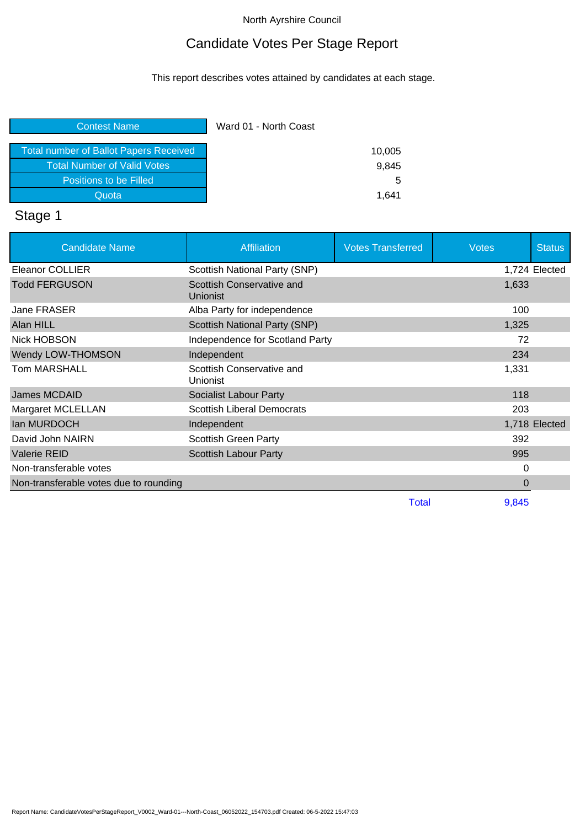# Candidate Votes Per Stage Report

This report describes votes attained by candidates at each stage.

| <b>Contest Name</b>                           | Ward 01 - North Coast |
|-----------------------------------------------|-----------------------|
| <b>Total number of Ballot Papers Received</b> | 10,005                |
| <b>Total Number of Valid Votes</b>            | 9,845                 |
| Positions to be Filled                        | 5                     |
| Quota                                         | 1.641                 |

# Stage 1

| <b>Candidate Name</b>                  | Affiliation                           | <b>Votes Transferred</b> | <b>Votes</b> | <b>Status</b> |
|----------------------------------------|---------------------------------------|--------------------------|--------------|---------------|
| <b>Eleanor COLLIER</b>                 | Scottish National Party (SNP)         |                          |              | 1,724 Elected |
| <b>Todd FERGUSON</b>                   | Scottish Conservative and<br>Unionist |                          | 1,633        |               |
| Jane FRASER                            | Alba Party for independence           |                          | 100          |               |
| Alan HILL                              | Scottish National Party (SNP)         |                          | 1,325        |               |
| Nick HOBSON                            | Independence for Scotland Party       |                          | 72           |               |
| Wendy LOW-THOMSON                      | Independent                           |                          | 234          |               |
| <b>Tom MARSHALL</b>                    | Scottish Conservative and<br>Unionist |                          | 1,331        |               |
| James MCDAID                           | <b>Socialist Labour Party</b>         |                          | 118          |               |
| Margaret MCLELLAN                      | <b>Scottish Liberal Democrats</b>     |                          | 203          |               |
| lan MURDOCH                            | Independent                           |                          |              | 1,718 Elected |
| David John NAIRN                       | <b>Scottish Green Party</b>           |                          | 392          |               |
| <b>Valerie REID</b>                    | <b>Scottish Labour Party</b>          |                          | 995          |               |
| Non-transferable votes                 |                                       |                          | 0            |               |
| Non-transferable votes due to rounding |                                       |                          | 0            |               |
|                                        |                                       | <b>Total</b>             | 9,845        |               |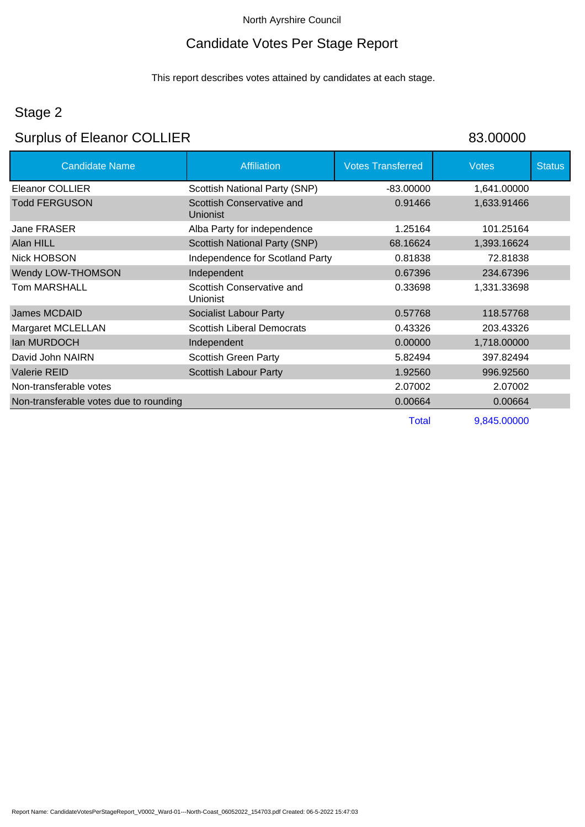# Candidate Votes Per Stage Report

This report describes votes attained by candidates at each stage.

# Stage 2

# Surplus of Eleanor COLLIER 83.00000

| <b>Candidate Name</b>                  | <b>Affiliation</b>                           | <b>Votes Transferred</b> | <b>Votes</b> | <b>Status</b> |
|----------------------------------------|----------------------------------------------|--------------------------|--------------|---------------|
| Eleanor COLLIER                        | Scottish National Party (SNP)                | $-83.00000$              | 1,641.00000  |               |
| <b>Todd FERGUSON</b>                   | Scottish Conservative and<br>Unionist        | 0.91466                  | 1,633.91466  |               |
| Jane FRASER                            | Alba Party for independence                  | 1.25164                  | 101.25164    |               |
| Alan HILL                              | Scottish National Party (SNP)                | 68.16624                 | 1,393.16624  |               |
| Nick HOBSON                            | Independence for Scotland Party              | 0.81838                  | 72.81838     |               |
| Wendy LOW-THOMSON                      | Independent                                  | 0.67396                  | 234.67396    |               |
| Tom MARSHALL                           | Scottish Conservative and<br><b>Unionist</b> | 0.33698                  | 1,331.33698  |               |
| James MCDAID                           | Socialist Labour Party                       | 0.57768                  | 118.57768    |               |
| <b>Margaret MCLELLAN</b>               | <b>Scottish Liberal Democrats</b>            | 0.43326                  | 203.43326    |               |
| lan MURDOCH                            | Independent                                  | 0.00000                  | 1,718.00000  |               |
| David John NAIRN                       | <b>Scottish Green Party</b>                  | 5.82494                  | 397.82494    |               |
| <b>Valerie REID</b>                    | <b>Scottish Labour Party</b>                 | 1.92560                  | 996.92560    |               |
| Non-transferable votes                 |                                              | 2.07002                  | 2.07002      |               |
| Non-transferable votes due to rounding |                                              | 0.00664                  | 0.00664      |               |
|                                        |                                              |                          |              |               |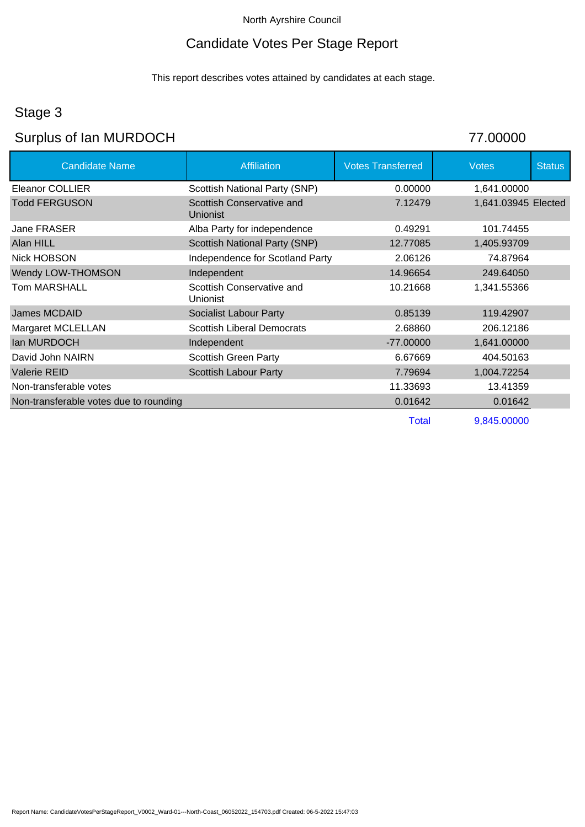# Candidate Votes Per Stage Report

This report describes votes attained by candidates at each stage.

# Stage 3

# Surplus of Ian MURDOCH 77.00000

| <b>Candidate Name</b>                  | Affiliation                                  | <b>Votes Transferred</b> | <b>Votes</b>        | <b>Status</b> |
|----------------------------------------|----------------------------------------------|--------------------------|---------------------|---------------|
| Eleanor COLLIER                        | Scottish National Party (SNP)                | 0.00000                  | 1,641.00000         |               |
| Todd FERGUSON                          | Scottish Conservative and<br><b>Unionist</b> | 7.12479                  | 1,641.03945 Elected |               |
| Jane FRASER                            | Alba Party for independence                  | 0.49291                  | 101.74455           |               |
| Alan HILL                              | Scottish National Party (SNP)                | 12.77085                 | 1,405.93709         |               |
| <b>Nick HOBSON</b>                     | Independence for Scotland Party              | 2.06126                  | 74.87964            |               |
| Wendy LOW-THOMSON                      | Independent                                  | 14.96654                 | 249.64050           |               |
| Tom MARSHALL                           | Scottish Conservative and<br>Unionist        | 10.21668                 | 1,341.55366         |               |
| James MCDAID                           | Socialist Labour Party                       | 0.85139                  | 119.42907           |               |
| Margaret MCLELLAN                      | <b>Scottish Liberal Democrats</b>            | 2.68860                  | 206.12186           |               |
| lan MURDOCH                            | Independent                                  | $-77.00000$              | 1,641.00000         |               |
| David John NAIRN                       | <b>Scottish Green Party</b>                  | 6.67669                  | 404.50163           |               |
| Valerie REID                           | <b>Scottish Labour Party</b>                 | 7.79694                  | 1,004.72254         |               |
| Non-transferable votes                 |                                              | 11.33693                 | 13.41359            |               |
| Non-transferable votes due to rounding |                                              | 0.01642                  | 0.01642             |               |
|                                        |                                              |                          |                     |               |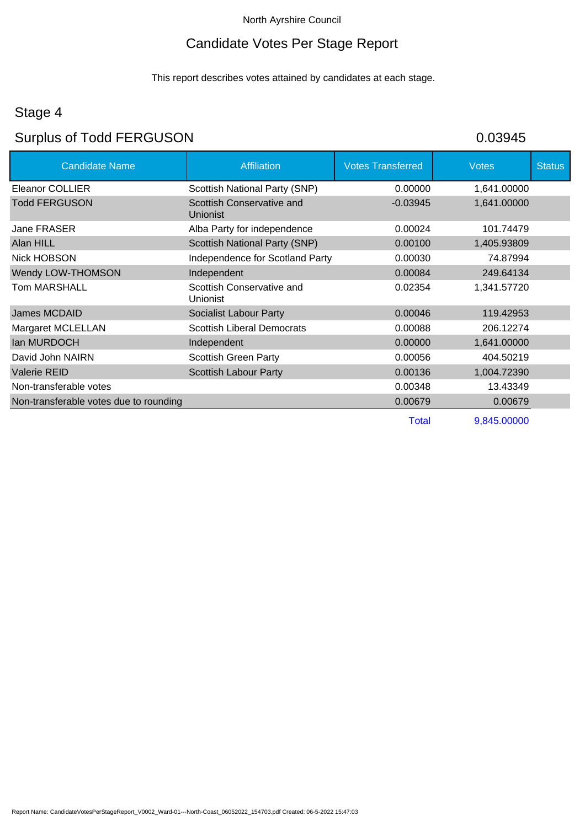# Candidate Votes Per Stage Report

This report describes votes attained by candidates at each stage.

# Stage 4

# Surplus of Todd FERGUSON 60.03945

| <b>Candidate Name</b>                  | <b>Affiliation</b>                    | <b>Votes Transferred</b> | <b>Votes</b> | <b>Status</b> |
|----------------------------------------|---------------------------------------|--------------------------|--------------|---------------|
| Eleanor COLLIER                        | Scottish National Party (SNP)         | 0.00000                  | 1,641.00000  |               |
| <b>Todd FERGUSON</b>                   | Scottish Conservative and<br>Unionist | $-0.03945$               | 1,641.00000  |               |
| Jane FRASER                            | Alba Party for independence           | 0.00024                  | 101.74479    |               |
| Alan HILL                              | Scottish National Party (SNP)         | 0.00100                  | 1,405.93809  |               |
| Nick HOBSON                            | Independence for Scotland Party       | 0.00030                  | 74.87994     |               |
| Wendy LOW-THOMSON                      | Independent                           | 0.00084                  | 249.64134    |               |
| <b>Tom MARSHALL</b>                    | Scottish Conservative and<br>Unionist | 0.02354                  | 1,341.57720  |               |
| <b>James MCDAID</b>                    | <b>Socialist Labour Party</b>         | 0.00046                  | 119.42953    |               |
| <b>Margaret MCLELLAN</b>               | <b>Scottish Liberal Democrats</b>     | 0.00088                  | 206.12274    |               |
| lan MURDOCH                            | Independent                           | 0.00000                  | 1,641.00000  |               |
| David John NAIRN                       | <b>Scottish Green Party</b>           | 0.00056                  | 404.50219    |               |
| Valerie REID                           | <b>Scottish Labour Party</b>          | 0.00136                  | 1,004.72390  |               |
| Non-transferable votes                 |                                       | 0.00348                  | 13.43349     |               |
| Non-transferable votes due to rounding |                                       | 0.00679                  | 0.00679      |               |
|                                        |                                       |                          |              |               |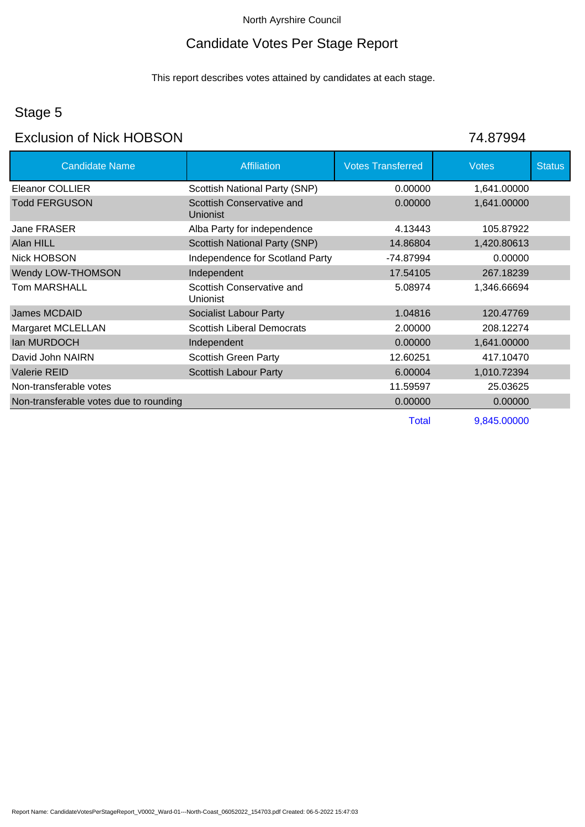# Candidate Votes Per Stage Report

This report describes votes attained by candidates at each stage.

# Stage 5

### Exclusion of Nick HOBSON 74.87994

| <b>Candidate Name</b>                  | <b>Affiliation</b>                           | <b>Votes Transferred</b> | <b>Votes</b> | <b>Status</b> |
|----------------------------------------|----------------------------------------------|--------------------------|--------------|---------------|
| Eleanor COLLIER                        | Scottish National Party (SNP)                | 0.00000                  | 1,641.00000  |               |
| <b>Todd FERGUSON</b>                   | Scottish Conservative and<br>Unionist        | 0.00000                  | 1,641.00000  |               |
| Jane FRASER                            | Alba Party for independence                  | 4.13443                  | 105.87922    |               |
| Alan HILL                              | <b>Scottish National Party (SNP)</b>         | 14.86804                 | 1,420.80613  |               |
| <b>Nick HOBSON</b>                     | Independence for Scotland Party              | -74.87994                | 0.00000      |               |
| Wendy LOW-THOMSON                      | Independent                                  | 17.54105                 | 267.18239    |               |
| Tom MARSHALL                           | Scottish Conservative and<br><b>Unionist</b> | 5.08974                  | 1,346.66694  |               |
| James MCDAID                           | <b>Socialist Labour Party</b>                | 1.04816                  | 120.47769    |               |
| Margaret MCLELLAN                      | <b>Scottish Liberal Democrats</b>            | 2.00000                  | 208.12274    |               |
| lan MURDOCH                            | Independent                                  | 0.00000                  | 1,641.00000  |               |
| David John NAIRN                       | <b>Scottish Green Party</b>                  | 12.60251                 | 417.10470    |               |
| <b>Valerie REID</b>                    | <b>Scottish Labour Party</b>                 | 6.00004                  | 1,010.72394  |               |
| Non-transferable votes                 |                                              | 11.59597                 | 25.03625     |               |
| Non-transferable votes due to rounding |                                              | 0.00000                  | 0.00000      |               |
|                                        |                                              |                          |              |               |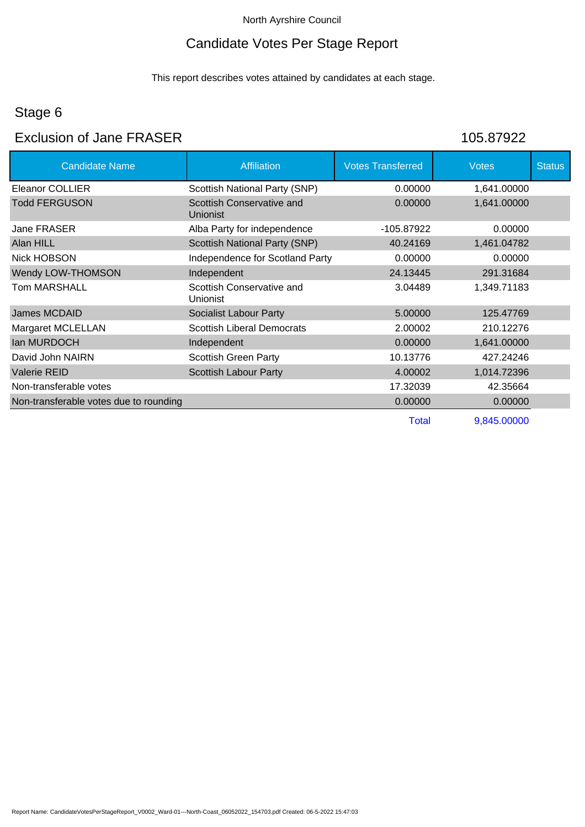#### Candidate Votes Per Stage Report

This report describes votes attained by candidates at each stage.

#### Stage 6

### Exclusion of Jane FRASER 105.87922

Candidate Name **Affiliation** Affiliation Votes Transferred Votes Votes Status Eleanor COLLIER Scottish National Party (SNP) 0.00000 1,641.00000 Todd FERGUSON Scottish Conservative and Unionist 0.00000 1,641.00000 Jane FRASER **Alba Party for independence** 105.87922 0.00000 Alan HILL **Alan HILL** Scottish National Party (SNP) 40.24169 1,461.04782 Nick HOBSON **Independence for Scotland Party** 0.00000 0.00000 Wendy LOW-THOMSON Independent 10 and 24.13445 291.31684 Tom MARSHALL Scottish Conservative and Unionist 3.04489 1,349.71183 James MCDAID **Socialist Labour Party** 5.00000 125.47769 Margaret MCLELLAN Scottish Liberal Democrats 2.00002 210.12276 Ian MURDOCH **Independent** 0.00000 1,641.00000 David John NAIRN **Scottish Green Party** 10.13776 427.24246 Valerie REID **Scottish Labour Party 1,014.72396** 1,014.72396 Non-transferable votes 17.32039 42.35664 Non-transferable votes due to rounding 0.00000 0.00000 0.00000 0.00000 0.00000 0.00000 0.00000 0.00000 0.00000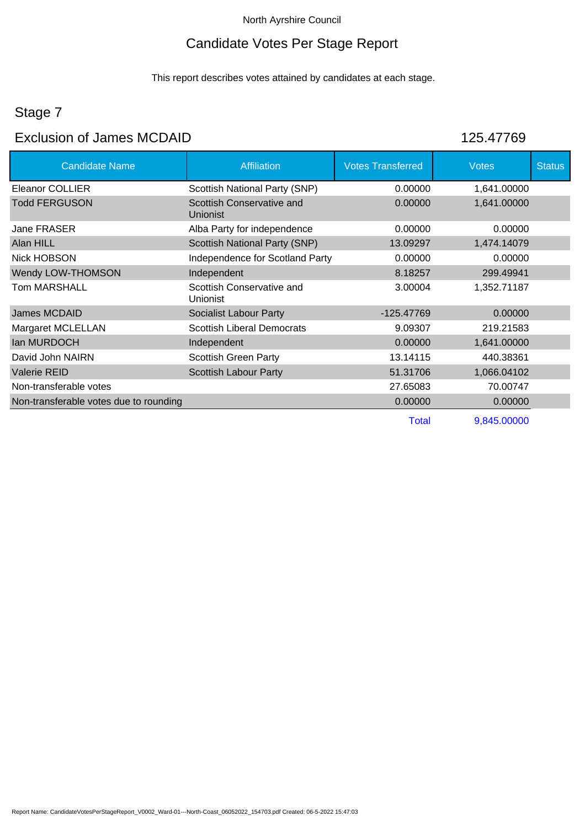### Candidate Votes Per Stage Report

This report describes votes attained by candidates at each stage.

# Stage 7

### Exclusion of James MCDAID 125.47769

Candidate Name Affiliation Affiliation Affiliation Affiliation Affiliation Affiliation Affiliation Affiliation Affiliation Affiliation Affiliation Affiliation Affiliation Affiliation Affiliation Affiliation Affiliation Aff Eleanor COLLIER Scottish National Party (SNP) 0.00000 1,641.00000 0.00000 1,641.00000

| <b>Todd FERGUSON</b>                   | Scottish Conservative and<br>Unionist | 0.00000    | 1,641.00000 |  |
|----------------------------------------|---------------------------------------|------------|-------------|--|
| Jane FRASER                            | Alba Party for independence           | 0.00000    | 0.00000     |  |
| Alan HILL                              | Scottish National Party (SNP)         | 13.09297   | 1,474.14079 |  |
| Nick HOBSON                            | Independence for Scotland Party       | 0.00000    | 0.00000     |  |
| Wendy LOW-THOMSON                      | Independent                           | 8.18257    | 299.49941   |  |
| <b>Tom MARSHALL</b>                    | Scottish Conservative and<br>Unionist | 3.00004    | 1,352.71187 |  |
| James MCDAID                           | <b>Socialist Labour Party</b>         | -125.47769 | 0.00000     |  |
|                                        |                                       |            |             |  |
| Margaret MCLELLAN                      | <b>Scottish Liberal Democrats</b>     | 9.09307    | 219.21583   |  |
| lan MURDOCH                            | Independent                           | 0.00000    | 1,641.00000 |  |
| David John NAIRN                       | <b>Scottish Green Party</b>           | 13.14115   | 440.38361   |  |
| <b>Valerie REID</b>                    | <b>Scottish Labour Party</b>          | 51.31706   | 1,066.04102 |  |
| Non-transferable votes                 |                                       | 27.65083   | 70.00747    |  |
| Non-transferable votes due to rounding |                                       | 0.00000    | 0.00000     |  |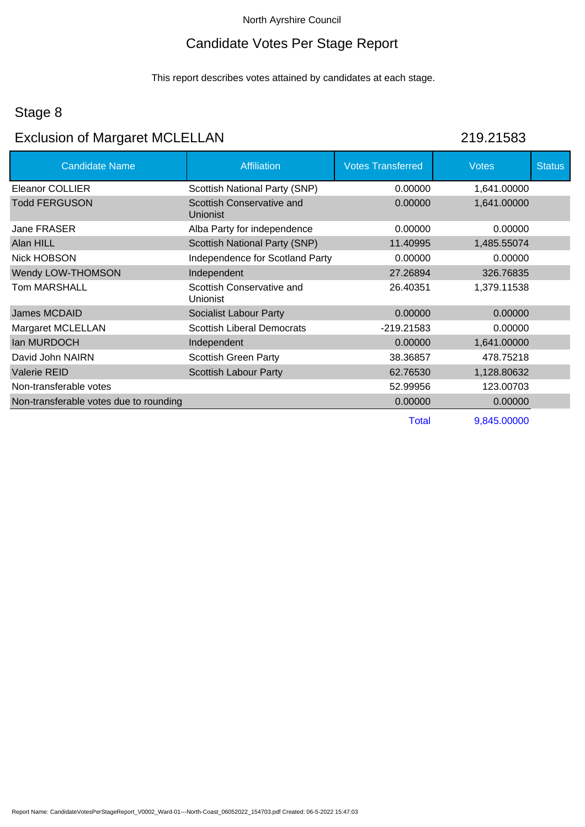### Candidate Votes Per Stage Report

This report describes votes attained by candidates at each stage.

### Stage 8

# Exclusion of Margaret MCLELLAN 219.21583

| <b>Candidate Name</b>                  | <b>Affiliation</b>                    | <b>Votes Transferred</b> | <b>Votes</b> | <b>Status</b> |
|----------------------------------------|---------------------------------------|--------------------------|--------------|---------------|
| Eleanor COLLIER                        | Scottish National Party (SNP)         | 0.00000                  | 1,641.00000  |               |
| <b>Todd FERGUSON</b>                   | Scottish Conservative and<br>Unionist | 0.00000                  | 1,641.00000  |               |
| Jane FRASER                            | Alba Party for independence           | 0.00000                  | 0.00000      |               |
| Alan HILL                              | Scottish National Party (SNP)         | 11.40995                 | 1,485.55074  |               |
| Nick HOBSON                            | Independence for Scotland Party       | 0.00000                  | 0.00000      |               |
| Wendy LOW-THOMSON                      | Independent                           | 27.26894                 | 326.76835    |               |
| Tom MARSHALL                           | Scottish Conservative and<br>Unionist | 26.40351                 | 1,379.11538  |               |
| James MCDAID                           | <b>Socialist Labour Party</b>         | 0.00000                  | 0.00000      |               |
| Margaret MCLELLAN                      | <b>Scottish Liberal Democrats</b>     | -219.21583               | 0.00000      |               |
| lan MURDOCH                            | Independent                           | 0.00000                  | 1,641.00000  |               |
| David John NAIRN                       | <b>Scottish Green Party</b>           | 38.36857                 | 478.75218    |               |
| <b>Valerie REID</b>                    | <b>Scottish Labour Party</b>          | 62.76530                 | 1,128.80632  |               |
| Non-transferable votes                 |                                       | 52.99956                 | 123.00703    |               |
| Non-transferable votes due to rounding |                                       | 0.00000                  | 0.00000      |               |
|                                        |                                       | —                        | 0.015.0000   |               |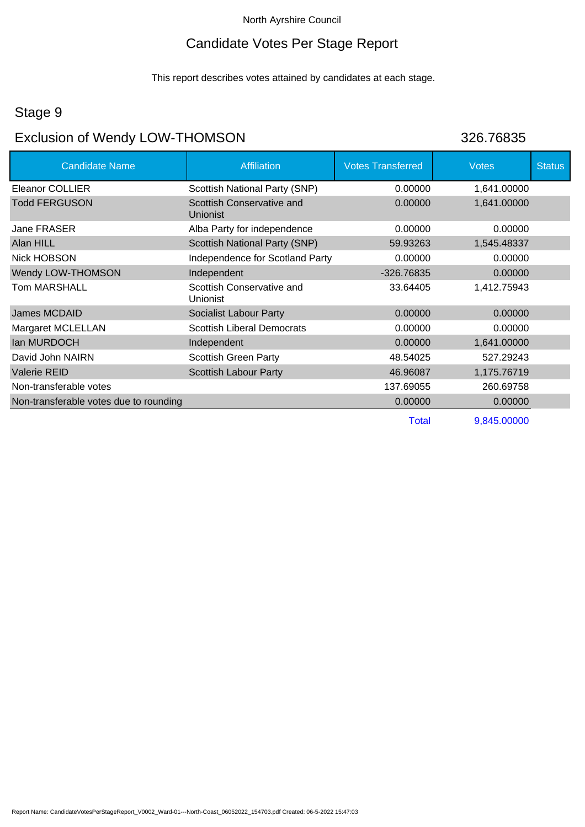### Candidate Votes Per Stage Report

This report describes votes attained by candidates at each stage.

### Stage 9

# Exclusion of Wendy LOW-THOMSON 326.76835

| <b>Candidate Name</b>                  | <b>Affiliation</b>                    | <b>Votes Transferred</b> | <b>Votes</b> | <b>Status</b> |
|----------------------------------------|---------------------------------------|--------------------------|--------------|---------------|
| Eleanor COLLIER                        | Scottish National Party (SNP)         | 0.00000                  | 1,641.00000  |               |
| <b>Todd FERGUSON</b>                   | Scottish Conservative and<br>Unionist | 0.00000                  | 1,641.00000  |               |
| Jane FRASER                            | Alba Party for independence           | 0.00000                  | 0.00000      |               |
| Alan HILL                              | Scottish National Party (SNP)         | 59.93263                 | 1,545.48337  |               |
| <b>Nick HOBSON</b>                     | Independence for Scotland Party       | 0.00000                  | 0.00000      |               |
| Wendy LOW-THOMSON                      | Independent                           | -326.76835               | 0.00000      |               |
| <b>Tom MARSHALL</b>                    | Scottish Conservative and<br>Unionist | 33.64405                 | 1,412.75943  |               |
| James MCDAID                           | <b>Socialist Labour Party</b>         | 0.00000                  | 0.00000      |               |
| Margaret MCLELLAN                      | <b>Scottish Liberal Democrats</b>     | 0.00000                  | 0.00000      |               |
| lan MURDOCH                            | Independent                           | 0.00000                  | 1,641.00000  |               |
| David John NAIRN                       | <b>Scottish Green Party</b>           | 48.54025                 | 527.29243    |               |
| <b>Valerie REID</b>                    | <b>Scottish Labour Party</b>          | 46.96087                 | 1,175.76719  |               |
| Non-transferable votes                 |                                       | 137.69055                | 260.69758    |               |
| Non-transferable votes due to rounding |                                       | 0.00000                  | 0.00000      |               |
|                                        |                                       | <b>Total</b>             | 9,845.00000  |               |

Report Name: CandidateVotesPerStageReport\_V0002\_Ward-01---North-Coast\_06052022\_154703.pdf Created: 06-5-2022 15:47:03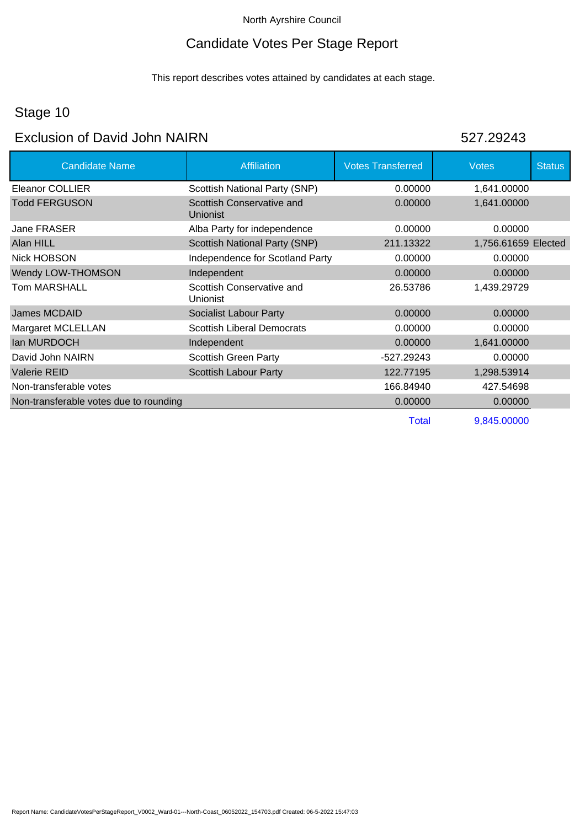#### Candidate Votes Per Stage Report

This report describes votes attained by candidates at each stage.

#### Stage 10

### Exclusion of David John NAIRN 527 29243

Candidate Name **Affiliation** Affiliation Votes Transferred Votes Votes Status Eleanor COLLIER Scottish National Party (SNP) 0.00000 1,641.00000 Todd FERGUSON Scottish Conservative and Unionist 0.00000 1,641.00000 Jane FRASER **Alba Party for independence 1.000000** 0.00000 0.00000 Alan HILL **Alan HILL** Scottish National Party (SNP) 211.13322 1,756.61659 Elected Nick HOBSON **Independence for Scotland Party** 0.00000 0.00000 Wendy LOW-THOMSON Independent 1000000 0.00000 0.00000 0.00000 Tom MARSHALL Scottish Conservative and Unionist 26.53786 1,439.29729 James MCDAID **Socialist Labour Party CONSIDERENT CONSIDERENT OCCIDENT** OF **CONSIDERING CONSIDERENT CONSIDERENT** Margaret MCLELLAN Scottish Liberal Democrats 0.00000 0.00000 0.00000 Ian MURDOCH **Independent** 1,641.00000 1,641.00000 1,641.00000 **1** David John NAIRN **Scottish Green Party 1996** -527.29243 0.00000 Valerie REID **Scottish Labour Party** 122.77195 1,298.53914 Non-transferable votes 166.84940 427.54698 Non-transferable votes due to rounding 0.00000 0.00000 0.00000 0.00000 0.00000 0.00000 0.00000 0.00000 0.00000 Total 9,845.00000

Report Name: CandidateVotesPerStageReport\_V0002\_Ward-01---North-Coast\_06052022\_154703.pdf Created: 06-5-2022 15:47:03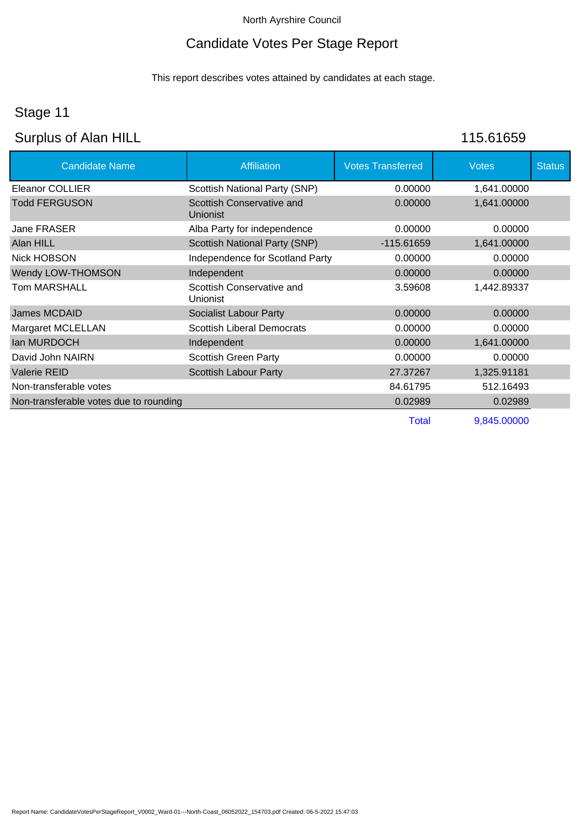# Candidate Votes Per Stage Report

This report describes votes attained by candidates at each stage.

# Stage 11

# Surplus of Alan HILL 115.61659

| <b>Candidate Name</b>                  | <b>Affiliation</b>                           | <b>Votes Transferred</b> | <b>Votes</b> | <b>Status</b> |
|----------------------------------------|----------------------------------------------|--------------------------|--------------|---------------|
| <b>Eleanor COLLIER</b>                 | Scottish National Party (SNP)                | 0.00000                  | 1,641.00000  |               |
| <b>Todd FERGUSON</b>                   | Scottish Conservative and<br><b>Unionist</b> | 0.00000                  | 1,641.00000  |               |
| Jane FRASER                            | Alba Party for independence                  | 0.00000                  | 0.00000      |               |
| Alan HILL                              | <b>Scottish National Party (SNP)</b>         | -115.61659               | 1,641.00000  |               |
| Nick HOBSON                            | Independence for Scotland Party              | 0.00000                  | 0.00000      |               |
| Wendy LOW-THOMSON                      | Independent                                  | 0.00000                  | 0.00000      |               |
| Tom MARSHALL                           | Scottish Conservative and<br>Unionist        | 3.59608                  | 1,442.89337  |               |
| James MCDAID                           | Socialist Labour Party                       | 0.00000                  | 0.00000      |               |
| Margaret MCLELLAN                      | <b>Scottish Liberal Democrats</b>            | 0.00000                  | 0.00000      |               |
| lan MURDOCH                            | Independent                                  | 0.00000                  | 1,641.00000  |               |
| David John NAIRN                       | <b>Scottish Green Party</b>                  | 0.00000                  | 0.00000      |               |
| <b>Valerie REID</b>                    | <b>Scottish Labour Party</b>                 | 27.37267                 | 1,325.91181  |               |
| Non-transferable votes                 |                                              | 84.61795                 | 512.16493    |               |
| Non-transferable votes due to rounding |                                              | 0.02989                  | 0.02989      |               |
|                                        |                                              |                          |              |               |